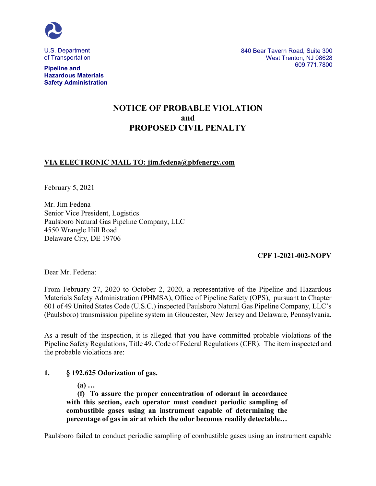

U.S. Department of Transportation

**Pipeline and Hazardous Materials Safety Administration** 840 Bear Tavern Road, Suite 300 West Trenton, NJ 08628 609.771.7800

# **NOTICE OF PROBABLE VIOLATION and PROPOSED CIVIL PENALTY**

# **VIA ELECTRONIC MAIL TO: jim.fedena@pbfenergy.com**

February 5, 2021

Mr. Jim Fedena Senior Vice President, Logistics Paulsboro Natural Gas Pipeline Company, LLC 4550 Wrangle Hill Road Delaware City, DE 19706

**CPF 1-2021-002-NOPV**

Dear Mr. Fedena:

From February 27, 2020 to October 2, 2020, a representative of the Pipeline and Hazardous Materials Safety Administration (PHMSA), Office of Pipeline Safety (OPS), pursuant to Chapter 601 of 49 United States Code (U.S.C.) inspected Paulsboro Natural Gas Pipeline Company, LLC's (Paulsboro) transmission pipeline system in Gloucester, New Jersey and Delaware, Pennsylvania.

As a result of the inspection, it is alleged that you have committed probable violations of the Pipeline Safety Regulations, Title 49, Code of Federal Regulations (CFR). The item inspected and the probable violations are:

### **1. § 192.625 Odorization of gas.**

**(a) …** 

**(f) To assure the proper concentration of odorant in accordance with this section, each operator must conduct periodic sampling of combustible gases using an instrument capable of determining the percentage of gas in air at which the odor becomes readily detectable…**

Paulsboro failed to conduct periodic sampling of combustible gases using an instrument capable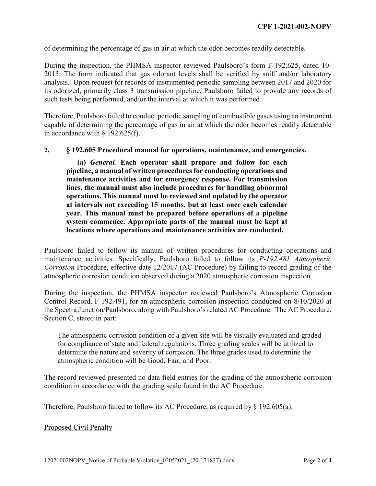of determining the percentage of gas in air at which the odor becomes readily detectable.

During the inspection, the PHMSA inspector reviewed Paulsboro's form F-192.625, dated 10- 2015. The form indicated that gas odorant levels shall be verified by sniff and/or laboratory analysis. Upon request for records of instrumented periodic sampling between 2017 and 2020 for its odorized, primarily class 3 transmission pipeline, Paulsboro failed to provide any records of such tests being performed, and/or the interval at which it was performed.

Therefore, Paulsboro failed to conduct periodic sampling of combustible gases using an instrument capable of determining the percentage of gas in air at which the odor becomes readily detectable in accordance with § 192.625(f).

#### **2. § 192.605 Procedural manual for operations, maintenance, and emergencies.**

**(a)** *General.* **Each operator shall prepare and follow for each pipeline, a manual of written procedures for conducting operations and maintenance activities and for emergency response. For transmission lines, the manual must also include procedures for handling abnormal operations. This manual must be reviewed and updated by the operator at intervals not exceeding 15 months, but at least once each calendar year. This manual must be prepared before operations of a pipeline system commence. Appropriate parts of the manual must be kept at locations where operations and maintenance activities are conducted.**

Paulsboro failed to follow its manual of written procedures for conducting operations and maintenance activities. Specifically, Paulsboro failed to follow its *P-192.481 Atmospheric Corrosion* Procedure, effective date 12/2017 (AC Procedure) by failing to record grading of the atmospheric corrosion condition observed during a 2020 atmospheric corrosion inspection.

During the inspection, the PHMSA inspector reviewed Paulsboro's Atmospheric Corrosion Control Record, F-192.491, for an atmospheric corrosion inspection conducted on 8/10/2020 at the Spectra Junction/Paulsboro, along with Paulsboro's related AC Procedure. The AC Procedure, Section C, stated in part:

The atmospheric corrosion condition of a given site will be visually evaluated and graded for compliance of state and federal regulations. Three grading scales will be utilized to determine the nature and severity of corrosion. The three grades used to determine the atmospheric condition will be Good, Fair, and Poor.

The record reviewed presented no data field entries for the grading of the atmospheric corrosion condition in accordance with the grading scale found in the AC Procedure.

Therefore, Paulsboro failed to follow its AC Procedure, as required by § 192.605(a).

### Proposed Civil Penalty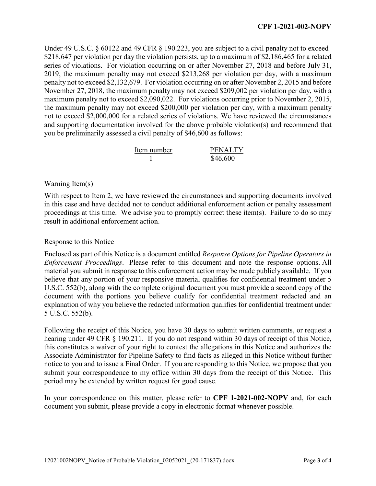Under 49 U.S.C. § 60122 and 49 CFR § 190.223, you are subject to a civil penalty not to exceed \$218,647 per violation per day the violation persists, up to a maximum of \$2,186,465 for a related series of violations. For violation occurring on or after November 27, 2018 and before July 31, 2019, the maximum penalty may not exceed \$213,268 per violation per day, with a maximum penalty not to exceed \$2,132,679. For violation occurring on or after November 2, 2015 and before November 27, 2018, the maximum penalty may not exceed \$209,002 per violation per day, with a maximum penalty not to exceed \$2,090,022. For violations occurring prior to November 2, 2015, the maximum penalty may not exceed \$200,000 per violation per day, with a maximum penalty not to exceed \$2,000,000 for a related series of violations. We have reviewed the circumstances and supporting documentation involved for the above probable violation(s) and recommend that you be preliminarily assessed a civil penalty of \$46,600 as follows:

| Item number | <b>PENALTY</b> |
|-------------|----------------|
|             | \$46,600       |

# Warning Item(s)

With respect to Item 2, we have reviewed the circumstances and supporting documents involved in this case and have decided not to conduct additional enforcement action or penalty assessment proceedings at this time. We advise you to promptly correct these item(s). Failure to do so may result in additional enforcement action.

## Response to this Notice

Enclosed as part of this Notice is a document entitled *Response Options for Pipeline Operators in Enforcement Proceedings*. Please refer to this document and note the response options. All material you submit in response to this enforcement action may be made publicly available. If you believe that any portion of your responsive material qualifies for confidential treatment under 5 U.S.C. 552(b), along with the complete original document you must provide a second copy of the document with the portions you believe qualify for confidential treatment redacted and an explanation of why you believe the redacted information qualifies for confidential treatment under 5 U.S.C. 552(b).

Following the receipt of this Notice, you have 30 days to submit written comments, or request a hearing under 49 CFR § 190.211. If you do not respond within 30 days of receipt of this Notice, this constitutes a waiver of your right to contest the allegations in this Notice and authorizes the Associate Administrator for Pipeline Safety to find facts as alleged in this Notice without further notice to you and to issue a Final Order. If you are responding to this Notice, we propose that you submit your correspondence to my office within 30 days from the receipt of this Notice. This period may be extended by written request for good cause.

In your correspondence on this matter, please refer to **CPF 1-2021-002-NOPV** and, for each document you submit, please provide a copy in electronic format whenever possible.